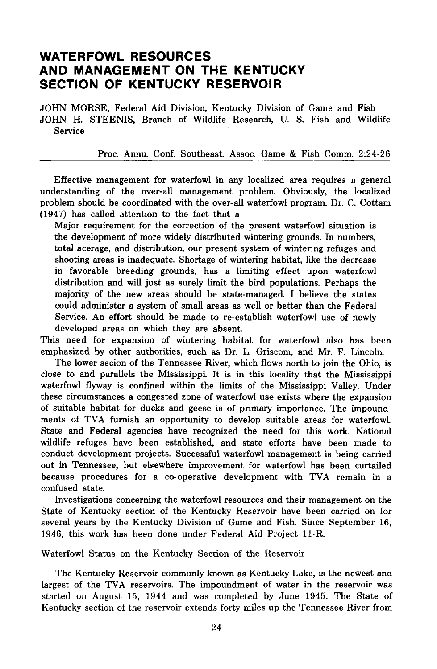## **WATERFOWL RESOURCES AND MANAGEMENT ON THE KENTUCKY SECTION OF KENTUCKY RESERVOIR**

JOHN MORSE, Federal Aid Division, Kentucky Division of Game and Fish JOHN H. STEENIS, Branch of Wildlife Research, U. S. Fish and Wildlife Service

Proc. Annu. Conf. Southeast. Assoc. Game & Fish Comm. 2:24-26

Effective management for waterfowl in any localized area requires a general understanding of the over-all management problem. Obviously, the localized problem should be coordinated with the over-all waterfowl program. Dr. C. Cottam (1947) has called attention to the fact that a

Major requirement for the correction of the present waterfowl situation is the development of more widely distributed wintering grounds. In numbers, total acerage. and distribution. our present system of wintering refuges and shooting areas is inadequate. Shortage of wintering habitat, like the decrease in favorable breeding grounds. has a limiting effect upon waterfowl distribution and will just as surely limit the bird populations. Perhaps the majority of the new areas should be state-managed. I believe the states could administer a system of small areas as well or better than the Federal Service. An effort should be made to re-establish waterfowl use of newly developed areas on which they are absent.

This need for expansion of wintering habitat for waterfowl also has been emphasized by other authorities, such as Dr. L. Griscom, and Mr. F. Lincoln.

The lower secion of the Tennessee River, which flows north to join the Ohio. is close to and parallels the Mississippi It is in this locality that the Mississippi waterfowl flyway is confined within the limits of the Mississippi Valley. Under these circumstances a congested zone of waterfowl use exists where the expansion of suitable habitat for ducks and geese is of primary importance. The impoundments of TVA furnish an opportunity to develop suitable areas for waterfowl State and Federal agencies have recognized the need for this work. National wildlife refuges have been established, and state efforts have been made to conduct development projects. Successful waterfowl management is being carried out in Tennessee, but elsewhere improvement for waterfowl has been curtailed because procedures for a co-operative development with TVA remain in a confused state.

Investigations concerning the waterfowl resources and their management on the State of Kentucky section of the Kentucky Reservoir have been carried on for several years by the Kentucky Division of Game and Fish. Since September 16, 1946, this work has been done under Federal Aid Project ll-R.

Waterfowl Status on the Kentucky Section of the Reservoir

The Kentucky Reservoir commonly known as Kentucky Lake, is the newest and largest of the TVA reservoirs. The impoundment of water in the reservoir was started on August 15, 1944 and was completed by June 1945. The State of Kentucky section of the reservoir extends forty miles up the Tennessee River from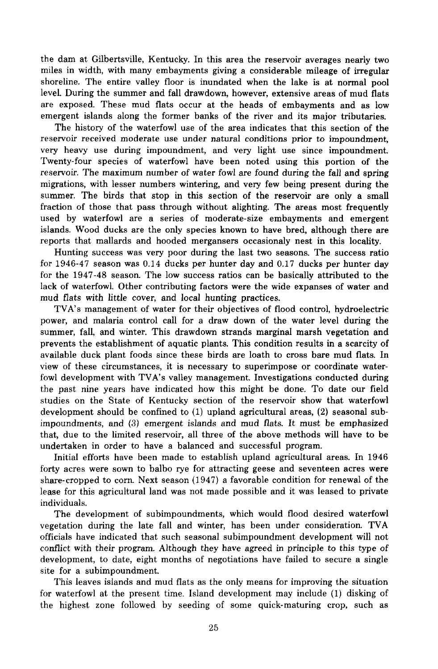the dam at Gilbertsville, Kentucky. In this area the reservoir averages nearly two miles in width, with many embayments giving a considerable mileage of irregular shoreline. The entire valley floor is inundated when the lake is at normal pool leveL During the summer and fall drawdown, however, extensive areas of mud flats are exposed. These mud flats occur at the heads of embayments and as low emergent islands along the former banks of the river and its major tributaries.

The history of the waterfowl use of the area indicates that this section of the reservoir received moderate use under natural conditions prior to impoundment, very heavy use during impoundment, and very light use since impoundment. Twenty-four species of waterfowl have been noted using this portion of the reservoir. The maximum number of water fowl are found during the fall and spring migrations, with lesser numbers wintering, and very few being present during the summer. The birds that stop in this section of the reservoir are only a small fraction of those that pass through without alighting. The areas most frequently used by waterfowl are a series of moderate-size embayments and emergent islands. Wood ducks are the only species known to have bred, although there are reports that mallards and hooded mergansers occasionaly nest in this locality.

Hunting success was very poor during the last two seasons. The success ratio for 1946-47 season was 0.14 ducks per hunter day and 0.17 ducks per hunter day for the 1947-48 season. The low success ratios can be basically attributed to the lack of waterfowl. Other contributing factors were the wide expanses of water and mud flats with little cover, and local hunting practices.

TVA's management of water for their objectives of flood control, hydroelectric power, and malaria control call for a draw down of the water level during the summer, fall, and winter. This drawdown strands marginal marsh vegetation and prevents the establishment of aquatic plants. This condition results in a scarcity of available duck plant foods since these birds are loath to cross bare mud flats. In view of these circumstances, it is necessary to superimpose or coordinate waterfowl development with TVA's valley management. Investigations conducted during the past nine years have indicated how this might be done. To date our field studies on the State of Kentucky section of the reservoir show that waterfowl development should be confined to (1) upland agricultural areas, (2) seasonal subimpoundments, and (3) emergent islands and mud flats. It must be emphasized that, due to the limited reservoir, all three of the above methods will have to be undertaken in order to have a balanced and successful program.

Initial efforts have been made to establish upland agricultural areas. In 1946 forty acres were sown to balbo rye for attracting geese and seventeen acres were share-cropped to corn. Next season (1947) a favorable condition for renewal of the lease for this agricultural land was not made possible and it was leased to private individuals.

The development of subimpoundments, which would flood desired waterfowl vegetation during the late fall and winter, has been under consideration. TVA officials have indicated that such seasonal subimpoundment development will not conflict with their program. Although they have agreed in principle to this type of development, to date, eight months of negotiations have failed to secure a single site for a subimpoundment.

This leaves islands and mud flats as the only means for improving the situation for waterfowl at the present time. Island development may include (1) disking of the highest zone followed by seeding of some quick-maturing crop, such as